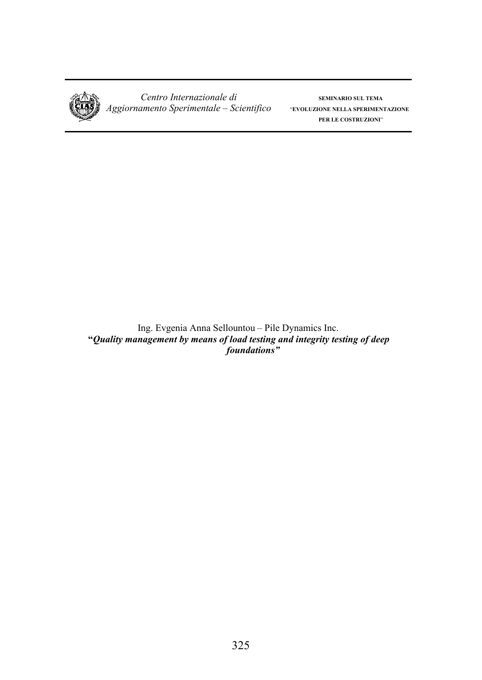

 $Centro$  *Internazionale di* **SEMINARIO SUL TEMA**  *Aggiornamento Sperimentale – Scientifico* "**EVOLUZIONE NELLA SPERIMENTAZIONE**

**PER LE COSTRUZIONI**"

Ing. Evgenia Anna Sellountou – Pile Dynamics Inc. **"***Quality management by means of load testing and integrity testing of deep foundations"*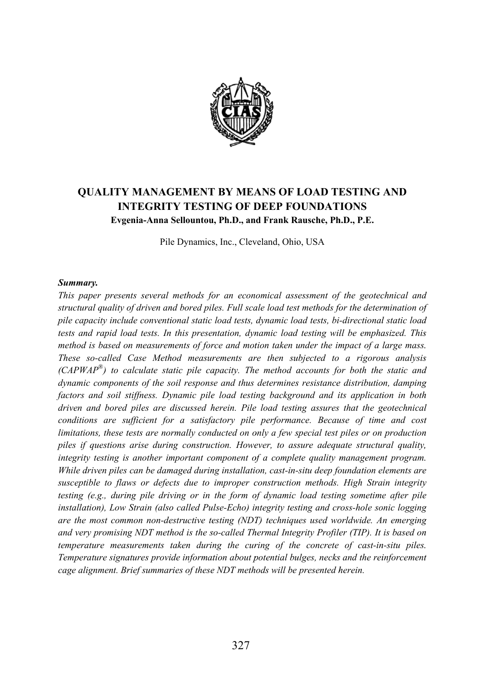

# **OUALITY MANAGEMENT BY MEANS OF LOAD TESTING AND INTEGRITY TESTING OF DEEP FOUNDATIONS** Evgenia-Anna Sellountou, Ph.D., and Frank Rausche, Ph.D., P.E.

Pile Dynamics, Inc., Cleveland, Ohio, USA

### Summary.

This paper presents several methods for an economical assessment of the geotechnical and structural quality of driven and bored piles. Full scale load test methods for the determination of pile capacity include conventional static load tests, dynamic load tests, bi-directional static load tests and rapid load tests. In this presentation, dynamic load testing will be emphasized. This method is based on measurements of force and motion taken under the impact of a large mass. These so-called Case Method measurements are then subjected to a rigorous analysis  $(CAPWAP^*)$  to calculate static pile capacity. The method accounts for both the static and dynamic components of the soil response and thus determines resistance distribution, damping factors and soil stiffness. Dynamic pile load testing background and its application in both driven and bored piles are discussed herein. Pile load testing assures that the geotechnical conditions are sufficient for a satisfactory pile performance. Because of time and cost limitations, these tests are normally conducted on only a few special test piles or on production piles if questions arise during construction. However, to assure adequate structural quality, integrity testing is another important component of a complete quality management program. While driven piles can be damaged during installation, cast-in-situ deep foundation elements are susceptible to flaws or defects due to improper construction methods. High Strain integrity testing (e.g., during pile driving or in the form of dynamic load testing sometime after pile installation), Low Strain (also called Pulse-Echo) integrity testing and cross-hole sonic logging are the most common non-destructive testing (NDT) techniques used worldwide. An emerging and very promising NDT method is the so-called Thermal Integrity Profiler (TIP). It is based on temperature measurements taken during the curing of the concrete of cast-in-situ piles. Temperature signatures provide information about potential bulges, necks and the reinforcement cage alignment. Brief summaries of these NDT methods will be presented herein.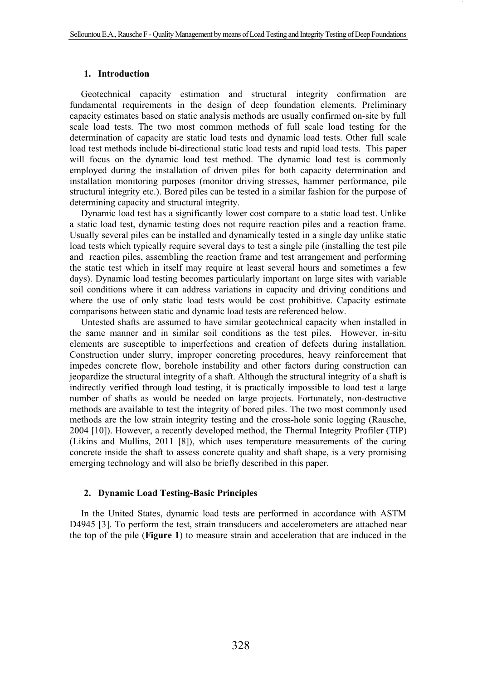#### **1. Introduction**

Geotechnical capacity estimation and structural integrity confirmation are fundamental requirements in the design of deep foundation elements. Preliminary capacity estimates based on static analysis methods are usually confirmed on-site by full scale load tests. The two most common methods of full scale load testing for the determination of capacity are static load tests and dynamic load tests. Other full scale load test methods include bi-directional static load tests and rapid load tests. This paper will focus on the dynamic load test method. The dynamic load test is commonly employed during the installation of driven piles for both capacity determination and installation monitoring purposes (monitor driving stresses, hammer performance, pile structural integrity etc.). Bored piles can be tested in a similar fashion for the purpose of determining capacity and structural integrity.

Dynamic load test has a significantly lower cost compare to a static load test. Unlike a static load test, dynamic testing does not require reaction piles and a reaction frame. Usually several piles can be installed and dynamically tested in a single day unlike static load tests which typically require several days to test a single pile (installing the test pile and reaction piles, assembling the reaction frame and test arrangement and performing the static test which in itself may require at least several hours and sometimes a few days). Dynamic load testing becomes particularly important on large sites with variable soil conditions where it can address variations in capacity and driving conditions and where the use of only static load tests would be cost prohibitive. Capacity estimate comparisons between static and dynamic load tests are referenced below.

Untested shafts are assumed to have similar geotechnical capacity when installed in the same manner and in similar soil conditions as the test piles. However, in-situ elements are susceptible to imperfections and creation of defects during installation. Construction under slurry, improper concreting procedures, heavy reinforcement that impedes concrete flow, borehole instability and other factors during construction can jeopardize the structural integrity of a shaft. Although the structural integrity of a shaft is indirectly verified through load testing, it is practically impossible to load test a large number of shafts as would be needed on large projects. Fortunately, non-destructive methods are available to test the integrity of bored piles. The two most commonly used methods are the low strain integrity testing and the cross-hole sonic logging (Rausche, 2004 [10]). However, a recently developed method, the Thermal Integrity Profiler (TIP) (Likins and Mullins, 2011 [8]), which uses temperature measurements of the curing concrete inside the shaft to assess concrete quality and shaft shape, is a very promising emerging technology and will also be briefly described in this paper.

#### **2. Dynamic Load Testing-Basic Principles**

In the United States, dynamic load tests are performed in accordance with ASTM D4945 [3]. To perform the test, strain transducers and accelerometers are attached near the top of the pile (**Figure 1**) to measure strain and acceleration that are induced in the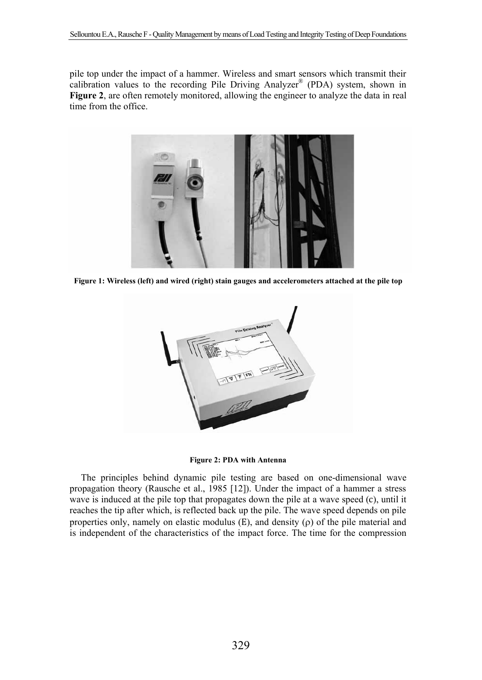pile top under the impact of a hammer. Wireless and smart sensors which transmit their calibration values to the recording Pile Driving Analyzer® (PDA) system, shown in **Figure 2**, are often remotely monitored, allowing the engineer to analyze the data in real time from the office.



**Figure 1: Wireless (left) and wired (right) stain gauges and accelerometers attached at the pile top** 



**Figure 2: PDA with Antenna** 

The principles behind dynamic pile testing are based on one-dimensional wave propagation theory (Rausche et al., 1985 [12]). Under the impact of a hammer a stress wave is induced at the pile top that propagates down the pile at a wave speed (c), until it reaches the tip after which, is reflected back up the pile. The wave speed depends on pile properties only, namely on elastic modulus  $(E)$ , and density  $(\rho)$  of the pile material and is independent of the characteristics of the impact force. The time for the compression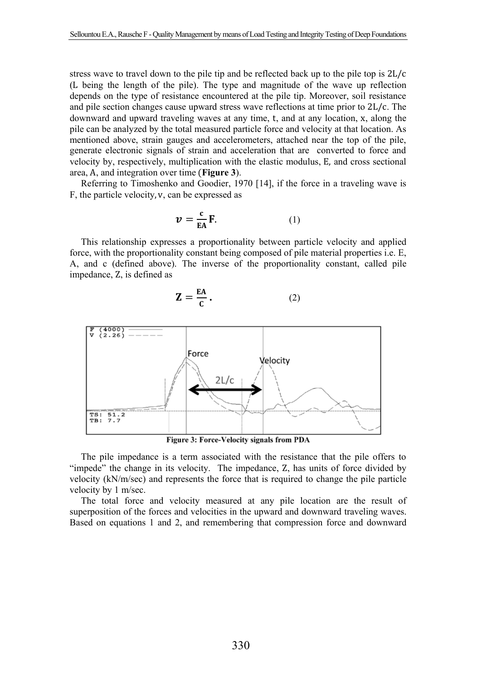stress wave to travel down to the pile tip and be reflected back up to the pile top is  $2L/c$ (L being the length of the pile). The type and magnitude of the wave up reflection depends on the type of resistance encountered at the pile tip. Moreover, soil resistance and pile section changes cause upward stress wave reflections at time prior to 2L/c. The downward and upward traveling waves at any time, t, and at any location, x, along the pile can be analyzed by the total measured particle force and velocity at that location. As mentioned above, strain gauges and accelerometers, attached near the top of the pile, generate electronic signals of strain and acceleration that are converted to force and velocity by, respectively, multiplication with the elastic modulus, E, and cross sectional area, A, and integration over time (Figure 3).

Referring to Timoshenko and Goodier, 1970 [14], if the force in a traveling wave is F, the particle velocity, v, can be expressed as

$$
\mathbf{v} = \frac{\mathbf{c}}{\mathbf{E} \mathbf{A}} \mathbf{F}.
$$
 (1)

This relationship expresses a proportionality between particle velocity and applied force, with the proportionality constant being composed of pile material properties i.e. E. A, and c (defined above). The inverse of the proportionality constant, called pile impedance, Z, is defined as

$$
\mathbf{Z} = \frac{\mathbf{E}\mathbf{A}}{\mathbf{C}}.\tag{2}
$$



**Figure 3: Force-Velocity signals from PDA** 

The pile impedance is a term associated with the resistance that the pile offers to "impede" the change in its velocity. The impedance, Z, has units of force divided by velocity (kN/m/sec) and represents the force that is required to change the pile particle velocity by 1 m/sec.

The total force and velocity measured at any pile location are the result of superposition of the forces and velocities in the upward and downward traveling waves. Based on equations 1 and 2, and remembering that compression force and downward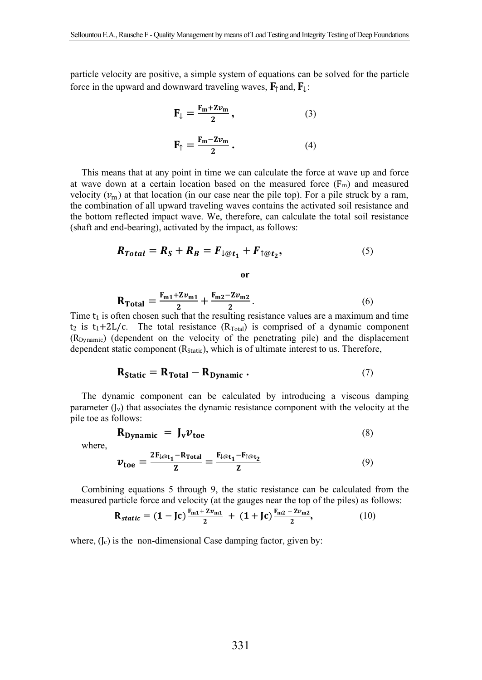particle velocity are positive, a simple system of equations can be solved for the particle force in the upward and downward traveling waves,  $\mathbf{F}_{\uparrow}$  and,  $\mathbf{F}_{\downarrow}$ :

$$
\mathbf{F}_{\downarrow} = \frac{\mathbf{F}_{\mathbf{m}} + \mathbf{Z}\mathbf{v}_{\mathbf{m}}}{2},\tag{3}
$$

$$
\mathbf{F}_{\uparrow} = \frac{\mathbf{F}_{\mathbf{m}} - \mathbf{Z}\mathbf{v}_{\mathbf{m}}}{2} \,. \tag{4}
$$

This means that at any point in time we can calculate the force at wave up and force at wave down at a certain location based on the measured force  $(F_m)$  and measured velocity  $(v_m)$  at that location (in our case near the pile top). For a pile struck by a ram, the combination of all upward traveling waves contains the activated soil resistance and the bottom reflected impact wave. We, therefore, can calculate the total soil resistance (shaft and end-bearing), activated by the impact, as follows:

$$
R_{Total} = R_S + R_B = F_{\downarrow \textcircled{et}_1} + F_{\uparrow \textcircled{et}_2},\tag{5}
$$

 $\bf{or}$ 

$$
R_{\text{Total}} = \frac{F_{m1} + Zv_{m1}}{2} + \frac{F_{m2} - Zv_{m2}}{2}.
$$
 (6)

Time t<sub>1</sub> is often chosen such that the resulting resistance values are a maximum and time t<sub>2</sub> is t<sub>1</sub>+2L/c. The total resistance ( $R_{Total}$ ) is comprised of a dynamic component (R<sub>Dvnamic</sub>) (dependent on the velocity of the penetrating pile) and the displacement dependent static component (R<sub>Static</sub>), which is of ultimate interest to us. Therefore,

$$
\mathbf{R}_{\text{static}} = \mathbf{R}_{\text{Total}} - \mathbf{R}_{\text{Dynamic}} \tag{7}
$$

The dynamic component can be calculated by introducing a viscous damping parameter  $(I_v)$  that associates the dynamic resistance component with the velocity at the pile toe as follows:

$$
\mathbf{R}_{\text{Dynamic}} = \mathbf{J}_v \mathbf{v}_{\text{toe}} \tag{8}
$$

where,

$$
v_{\text{toe}} = \frac{2F_{\downarrow \text{Q}t_1} - R_{\text{Total}}}{Z} = \frac{F_{\downarrow \text{Q}t_1} - F_{\uparrow \text{Q}t_2}}{Z}
$$
(9)

Combining equations 5 through 9, the static resistance can be calculated from the measured particle force and velocity (at the gauges near the top of the piles) as follows:

$$
\mathbf{R}_{static} = (1 - \mathbf{Jc}) \frac{\mathbf{F}_{m1} + 2v_{m1}}{2} + (1 + \mathbf{Jc}) \frac{\mathbf{F}_{m2} - 2v_{m2}}{2}, \tag{10}
$$

where,  $(I_c)$  is the non-dimensional Case damping factor, given by: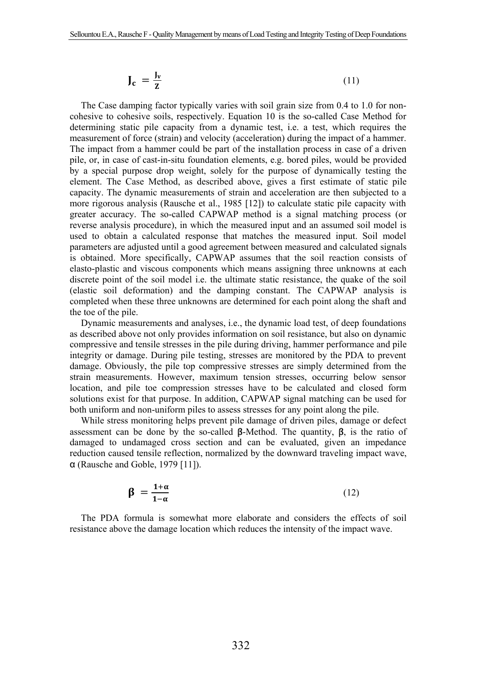$$
\mathbf{J_c} = \frac{\mathbf{J_v}}{\mathbf{z}} \tag{11}
$$

The Case damping factor typically varies with soil grain size from 0.4 to 1.0 for noncohesive to cohesive soils, respectively. Equation 10 is the so-called Case Method for determining static pile capacity from a dynamic test, i.e. a test, which requires the measurement of force (strain) and velocity (acceleration) during the impact of a hammer. The impact from a hammer could be part of the installation process in case of a driven pile, or, in case of cast-in-situ foundation elements, e.g. bored piles, would be provided by a special purpose drop weight, solely for the purpose of dynamically testing the element. The Case Method, as described above, gives a first estimate of static pile capacity. The dynamic measurements of strain and acceleration are then subjected to a more rigorous analysis (Rausche et al., 1985 [12]) to calculate static pile capacity with greater accuracy. The so-called CAPWAP method is a signal matching process (or reverse analysis procedure), in which the measured input and an assumed soil model is used to obtain a calculated response that matches the measured input. Soil model parameters are adjusted until a good agreement between measured and calculated signals is obtained. More specifically, CAPWAP assumes that the soil reaction consists of elasto-plastic and viscous components which means assigning three unknowns at each discrete point of the soil model i.e. the ultimate static resistance, the quake of the soil (elastic soil deformation) and the damping constant. The CAPWAP analysis is completed when these three unknowns are determined for each point along the shaft and the toe of the pile.

Dynamic measurements and analyses, i.e., the dynamic load test, of deep foundations as described above not only provides information on soil resistance, but also on dynamic compressive and tensile stresses in the pile during driving, hammer performance and pile integrity or damage. During pile testing, stresses are monitored by the PDA to prevent damage. Obviously, the pile top compressive stresses are simply determined from the strain measurements. However, maximum tension stresses, occurring below sensor location, and pile toe compression stresses have to be calculated and closed form solutions exist for that purpose. In addition, CAPWAP signal matching can be used for both uniform and non-uniform piles to assess stresses for any point along the pile.

While stress monitoring helps prevent pile damage of driven piles, damage or defect assessment can be done by the so-called  $\beta$ -Method. The quantity,  $\beta$ , is the ratio of damaged to undamaged cross section and can be evaluated, given an impedance reduction caused tensile reflection, normalized by the downward traveling impact wave, α (Rausche and Goble, 1979 [11]).

$$
\beta = \frac{1+\alpha}{1-\alpha} \tag{12}
$$

The PDA formula is somewhat more elaborate and considers the effects of soil resistance above the damage location which reduces the intensity of the impact wave.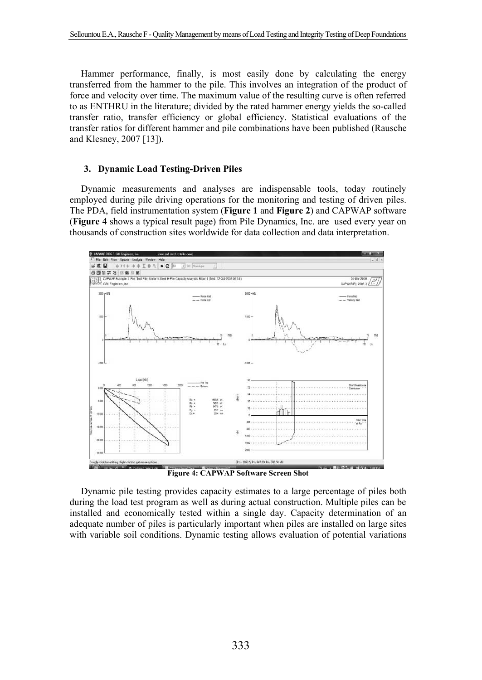Hammer performance, finally, is most easily done by calculating the energy transferred from the hammer to the pile. This involves an integration of the product of force and velocity over time. The maximum value of the resulting curve is often referred to as ENTHRU in the literature; divided by the rated hammer energy yields the so-called transfer ratio, transfer efficiency or global efficiency. Statistical evaluations of the transfer ratios for different hammer and pile combinations have been published (Rausche and Klesney, 2007 [13]).

#### **3. Dynamic Load Testing-Driven Piles**

Dynamic measurements and analyses are indispensable tools, today routinely employed during pile driving operations for the monitoring and testing of driven piles. The PDA, field instrumentation system (**Figure 1** and **Figure 2**) and CAPWAP software (**Figure 4** shows a typical result page) from Pile Dynamics, Inc. are used every year on thousands of construction sites worldwide for data collection and data interpretation.



**Figure 4: CAPWAP Software Screen Shot**

Dynamic pile testing provides capacity estimates to a large percentage of piles both during the load test program as well as during actual construction. Multiple piles can be installed and economically tested within a single day. Capacity determination of an adequate number of piles is particularly important when piles are installed on large sites with variable soil conditions. Dynamic testing allows evaluation of potential variations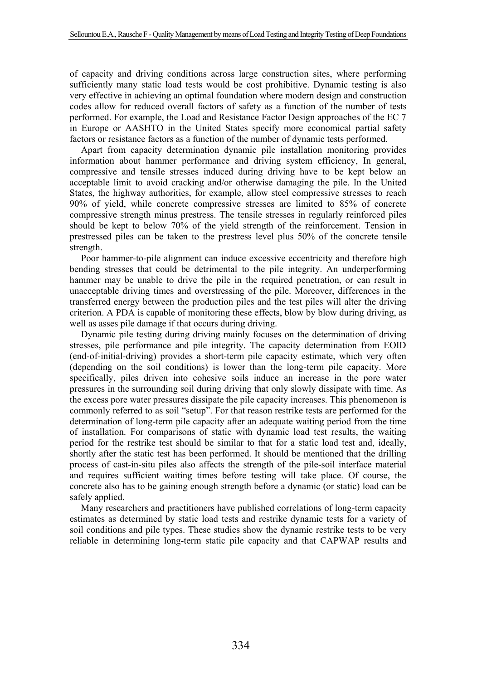of capacity and driving conditions across large construction sites, where performing sufficiently many static load tests would be cost prohibitive. Dynamic testing is also very effective in achieving an optimal foundation where modern design and construction codes allow for reduced overall factors of safety as a function of the number of tests performed. For example, the Load and Resistance Factor Design approaches of the EC 7 in Europe or AASHTO in the United States specify more economical partial safety factors or resistance factors as a function of the number of dynamic tests performed.

Apart from capacity determination dynamic pile installation monitoring provides information about hammer performance and driving system efficiency, In general, compressive and tensile stresses induced during driving have to be kept below an acceptable limit to avoid cracking and/or otherwise damaging the pile. In the United States, the highway authorities, for example, allow steel compressive stresses to reach 90% of yield, while concrete compressive stresses are limited to 85% of concrete compressive strength minus prestress. The tensile stresses in regularly reinforced piles should be kept to below 70% of the yield strength of the reinforcement. Tension in prestressed piles can be taken to the prestress level plus 50% of the concrete tensile strength.

Poor hammer-to-pile alignment can induce excessive eccentricity and therefore high bending stresses that could be detrimental to the pile integrity. An underperforming hammer may be unable to drive the pile in the required penetration, or can result in unacceptable driving times and overstressing of the pile. Moreover, differences in the transferred energy between the production piles and the test piles will alter the driving criterion. A PDA is capable of monitoring these effects, blow by blow during driving, as well as asses pile damage if that occurs during driving.

Dynamic pile testing during driving mainly focuses on the determination of driving stresses, pile performance and pile integrity. The capacity determination from EOID (end-of-initial-driving) provides a short-term pile capacity estimate, which very often (depending on the soil conditions) is lower than the long-term pile capacity. More specifically, piles driven into cohesive soils induce an increase in the pore water pressures in the surrounding soil during driving that only slowly dissipate with time. As the excess pore water pressures dissipate the pile capacity increases. This phenomenon is commonly referred to as soil "setup". For that reason restrike tests are performed for the determination of long-term pile capacity after an adequate waiting period from the time of installation. For comparisons of static with dynamic load test results, the waiting period for the restrike test should be similar to that for a static load test and, ideally, shortly after the static test has been performed. It should be mentioned that the drilling process of cast-in-situ piles also affects the strength of the pile-soil interface material and requires sufficient waiting times before testing will take place. Of course, the concrete also has to be gaining enough strength before a dynamic (or static) load can be safely applied.

Many researchers and practitioners have published correlations of long-term capacity estimates as determined by static load tests and restrike dynamic tests for a variety of soil conditions and pile types. These studies show the dynamic restrike tests to be very reliable in determining long-term static pile capacity and that CAPWAP results and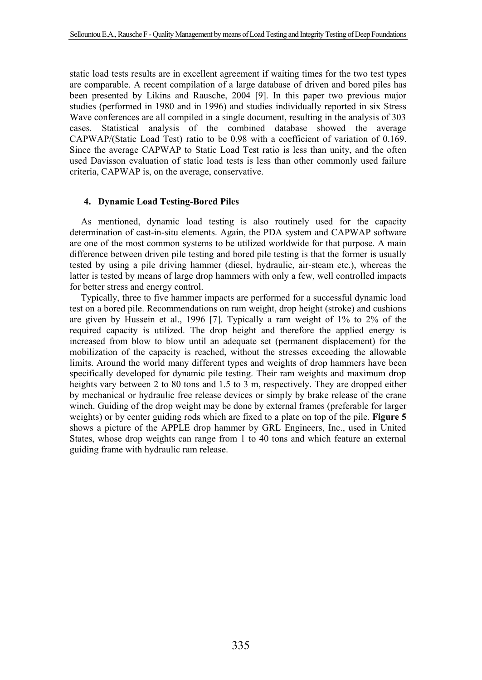static load tests results are in excellent agreement if waiting times for the two test types are comparable. A recent compilation of a large database of driven and bored piles has been presented by Likins and Rausche, 2004 [9]. In this paper two previous major studies (performed in 1980 and in 1996) and studies individually reported in six Stress Wave conferences are all compiled in a single document, resulting in the analysis of 303 cases. Statistical analysis of the combined database showed the average CAPWAP/(Static Load Test) ratio to be 0.98 with a coefficient of variation of 0.169. Since the average CAPWAP to Static Load Test ratio is less than unity, and the often used Davisson evaluation of static load tests is less than other commonly used failure criteria, CAPWAP is, on the average, conservative.

### **4. Dynamic Load Testing-Bored Piles**

As mentioned, dynamic load testing is also routinely used for the capacity determination of cast-in-situ elements. Again, the PDA system and CAPWAP software are one of the most common systems to be utilized worldwide for that purpose. A main difference between driven pile testing and bored pile testing is that the former is usually tested by using a pile driving hammer (diesel, hydraulic, air-steam etc.), whereas the latter is tested by means of large drop hammers with only a few, well controlled impacts for better stress and energy control.

Typically, three to five hammer impacts are performed for a successful dynamic load test on a bored pile. Recommendations on ram weight, drop height (stroke) and cushions are given by Hussein et al., 1996 [7]. Typically a ram weight of 1% to 2% of the required capacity is utilized. The drop height and therefore the applied energy is increased from blow to blow until an adequate set (permanent displacement) for the mobilization of the capacity is reached, without the stresses exceeding the allowable limits. Around the world many different types and weights of drop hammers have been specifically developed for dynamic pile testing. Their ram weights and maximum drop heights vary between 2 to 80 tons and 1.5 to 3 m, respectively. They are dropped either by mechanical or hydraulic free release devices or simply by brake release of the crane winch. Guiding of the drop weight may be done by external frames (preferable for larger weights) or by center guiding rods which are fixed to a plate on top of the pile. **Figure 5** shows a picture of the APPLE drop hammer by GRL Engineers, Inc., used in United States, whose drop weights can range from 1 to 40 tons and which feature an external guiding frame with hydraulic ram release.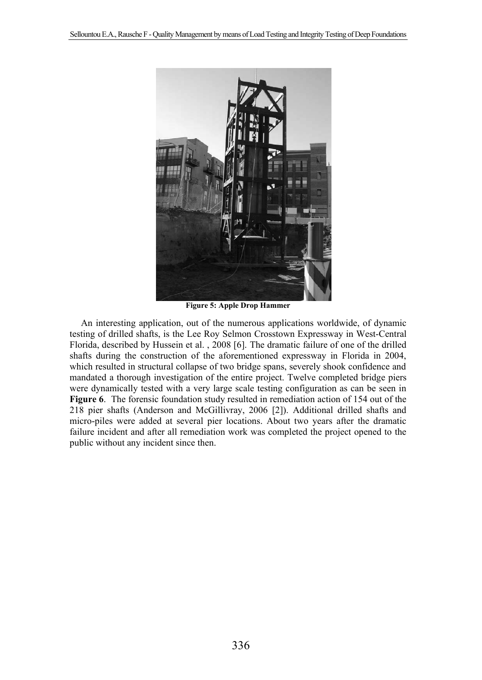

**Figure 5: Apple Drop Hammer** 

An interesting application, out of the numerous applications worldwide, of dynamic testing of drilled shafts, is the Lee Roy Selmon Crosstown Expressway in West-Central Florida, described by Hussein et al. , 2008 [6]. The dramatic failure of one of the drilled shafts during the construction of the aforementioned expressway in Florida in 2004, which resulted in structural collapse of two bridge spans, severely shook confidence and mandated a thorough investigation of the entire project. Twelve completed bridge piers were dynamically tested with a very large scale testing configuration as can be seen in **Figure 6**. The forensic foundation study resulted in remediation action of 154 out of the 218 pier shafts (Anderson and McGillivray, 2006 [2]). Additional drilled shafts and micro-piles were added at several pier locations. About two years after the dramatic failure incident and after all remediation work was completed the project opened to the public without any incident since then.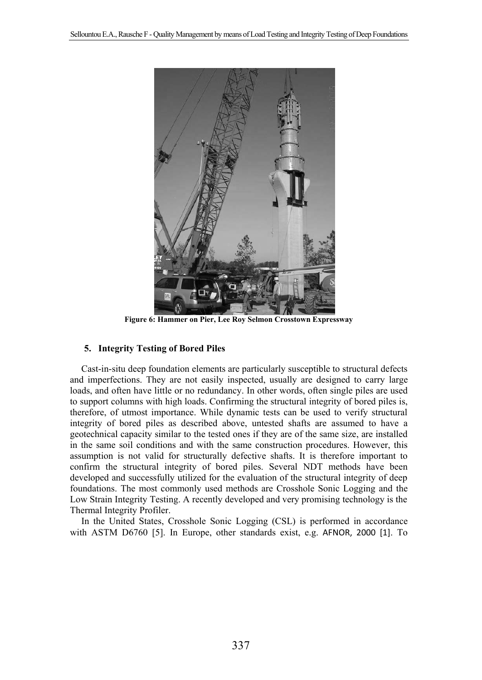

**Figure 6: Hammer on Pier, Lee Roy Selmon Crosstown Expressway** 

## **5. Integrity Testing of Bored Piles**

Cast-in-situ deep foundation elements are particularly susceptible to structural defects and imperfections. They are not easily inspected, usually are designed to carry large loads, and often have little or no redundancy. In other words, often single piles are used to support columns with high loads. Confirming the structural integrity of bored piles is, therefore, of utmost importance. While dynamic tests can be used to verify structural integrity of bored piles as described above, untested shafts are assumed to have a geotechnical capacity similar to the tested ones if they are of the same size, are installed in the same soil conditions and with the same construction procedures. However, this assumption is not valid for structurally defective shafts. It is therefore important to confirm the structural integrity of bored piles. Several NDT methods have been developed and successfully utilized for the evaluation of the structural integrity of deep foundations. The most commonly used methods are Crosshole Sonic Logging and the Low Strain Integrity Testing. A recently developed and very promising technology is the Thermal Integrity Profiler.

In the United States, Crosshole Sonic Logging (CSL) is performed in accordance with ASTM D6760 [5]. In Europe, other standards exist, e.g. AFNOR, 2000 [1]. To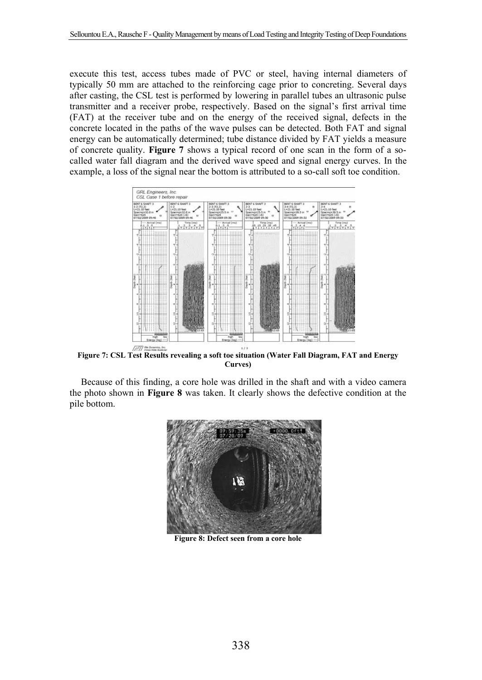execute this test, access tubes made of PVC or steel, having internal diameters of typically 50 mm are attached to the reinforcing cage prior to concreting. Several days after casting, the CSL test is performed by lowering in parallel tubes an ultrasonic pulse transmitter and a receiver probe, respectively. Based on the signal's first arrival time (FAT) at the receiver tube and on the energy of the received signal, defects in the concrete located in the paths of the wave pulses can be detected. Both FAT and signal energy can be automatically determined; tube distance divided by FAT yields a measure of concrete quality. **Figure 7** shows a typical record of one scan in the form of a socalled water fall diagram and the derived wave speed and signal energy curves. In the example, a loss of the signal near the bottom is attributed to a so-call soft toe condition.



**Figure 7: CSL Test Results revealing a soft toe situation (Water Fall Diagram, FAT and Energy Curves)** 

Because of this finding, a core hole was drilled in the shaft and with a video camera the photo shown in **Figure 8** was taken. It clearly shows the defective condition at the pile bottom.



**Figure 8: Defect seen from a core hole**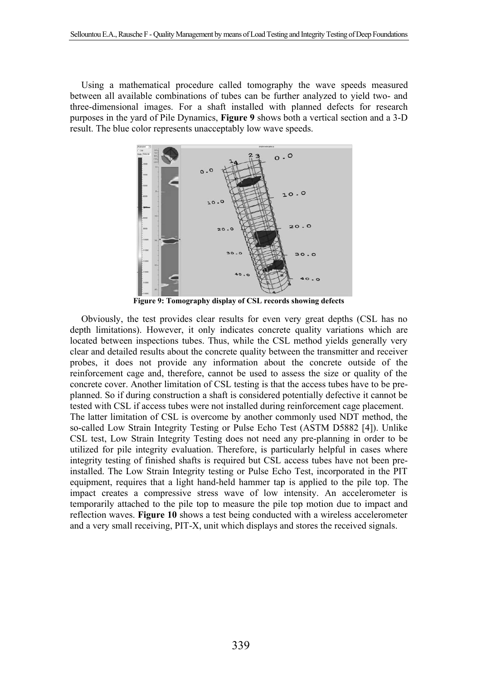Using a mathematical procedure called tomography the wave speeds measured between all available combinations of tubes can be further analyzed to yield two- and three-dimensional images. For a shaft installed with planned defects for research purposes in the yard of Pile Dynamics, **Figure 9** shows both a vertical section and a 3-D result. The blue color represents unacceptably low wave speeds.



**Figure 9: Tomography display of CSL records showing defects** 

Obviously, the test provides clear results for even very great depths (CSL has no depth limitations). However, it only indicates concrete quality variations which are located between inspections tubes. Thus, while the CSL method yields generally very clear and detailed results about the concrete quality between the transmitter and receiver probes, it does not provide any information about the concrete outside of the reinforcement cage and, therefore, cannot be used to assess the size or quality of the concrete cover. Another limitation of CSL testing is that the access tubes have to be preplanned. So if during construction a shaft is considered potentially defective it cannot be tested with CSL if access tubes were not installed during reinforcement cage placement. The latter limitation of CSL is overcome by another commonly used NDT method, the so-called Low Strain Integrity Testing or Pulse Echo Test (ASTM D5882 [4]). Unlike CSL test, Low Strain Integrity Testing does not need any pre-planning in order to be utilized for pile integrity evaluation. Therefore, is particularly helpful in cases where integrity testing of finished shafts is required but CSL access tubes have not been preinstalled. The Low Strain Integrity testing or Pulse Echo Test, incorporated in the PIT equipment, requires that a light hand-held hammer tap is applied to the pile top. The impact creates a compressive stress wave of low intensity. An accelerometer is temporarily attached to the pile top to measure the pile top motion due to impact and reflection waves. **Figure 10** shows a test being conducted with a wireless accelerometer and a very small receiving, PIT-X, unit which displays and stores the received signals.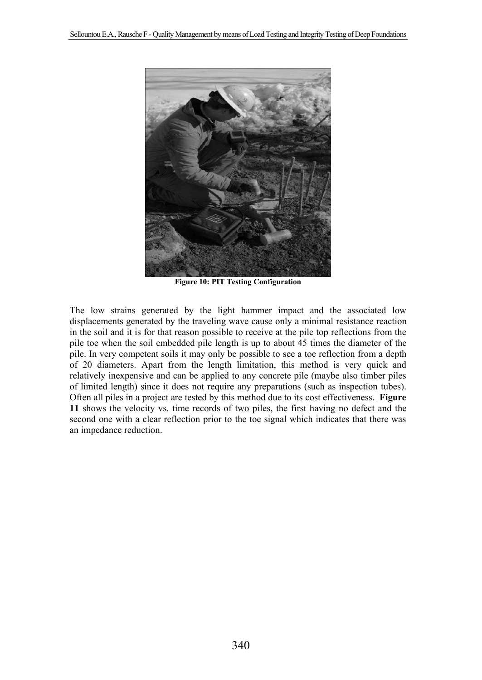

**Figure 10: PIT Testing Configuration** 

The low strains generated by the light hammer impact and the associated low displacements generated by the traveling wave cause only a minimal resistance reaction in the soil and it is for that reason possible to receive at the pile top reflections from the pile toe when the soil embedded pile length is up to about 45 times the diameter of the pile. In very competent soils it may only be possible to see a toe reflection from a depth of 20 diameters. Apart from the length limitation, this method is very quick and relatively inexpensive and can be applied to any concrete pile (maybe also timber piles of limited length) since it does not require any preparations (such as inspection tubes). Often all piles in a project are tested by this method due to its cost effectiveness. **Figure 11** shows the velocity vs. time records of two piles, the first having no defect and the second one with a clear reflection prior to the toe signal which indicates that there was an impedance reduction.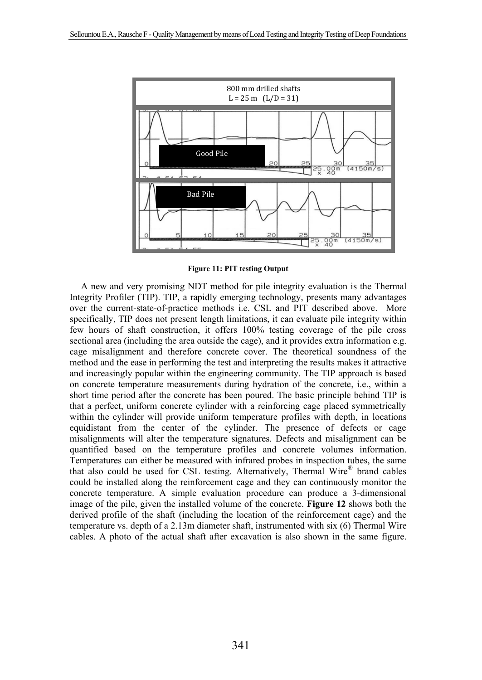

**Figure 11: PIT testing Output** 

A new and very promising NDT method for pile integrity evaluation is the Thermal Integrity Profiler (TIP). TIP, a rapidly emerging technology, presents many advantages over the current-state-of-practice methods i.e. CSL and PIT described above. More specifically, TIP does not present length limitations, it can evaluate pile integrity within few hours of shaft construction, it offers 100% testing coverage of the pile cross sectional area (including the area outside the cage), and it provides extra information e.g. cage misalignment and therefore concrete cover. The theoretical soundness of the method and the ease in performing the test and interpreting the results makes it attractive and increasingly popular within the engineering community. The TIP approach is based on concrete temperature measurements during hydration of the concrete, i.e., within a short time period after the concrete has been poured. The basic principle behind TIP is that a perfect, uniform concrete cylinder with a reinforcing cage placed symmetrically within the cylinder will provide uniform temperature profiles with depth, in locations equidistant from the center of the cylinder. The presence of defects or cage misalignments will alter the temperature signatures. Defects and misalignment can be quantified based on the temperature profiles and concrete volumes information. Temperatures can either be measured with infrared probes in inspection tubes, the same that also could be used for CSL testing. Alternatively, Thermal Wire<sup>®</sup> brand cables could be installed along the reinforcement cage and they can continuously monitor the concrete temperature. A simple evaluation procedure can produce a 3-dimensional image of the pile, given the installed volume of the concrete. **Figure 12** shows both the derived profile of the shaft (including the location of the reinforcement cage) and the temperature vs. depth of a 2.13m diameter shaft, instrumented with six (6) Thermal Wire cables. A photo of the actual shaft after excavation is also shown in the same figure.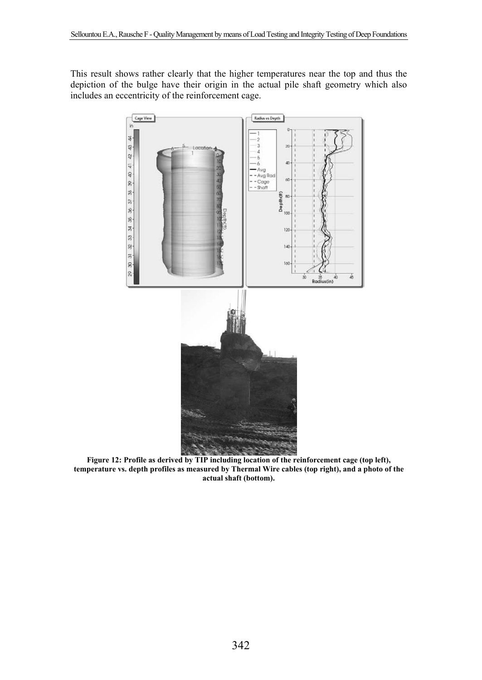This result shows rather clearly that the higher temperatures near the top and thus the depiction of the bulge have their origin in the actual pile shaft geometry which also includes an eccentricity of the reinforcement cage.



**Figure 12: Profile as derived by TIP including location of the reinforcement cage (top left), temperature vs. depth profiles as measured by Thermal Wire cables (top right), and a photo of the actual shaft (bottom).**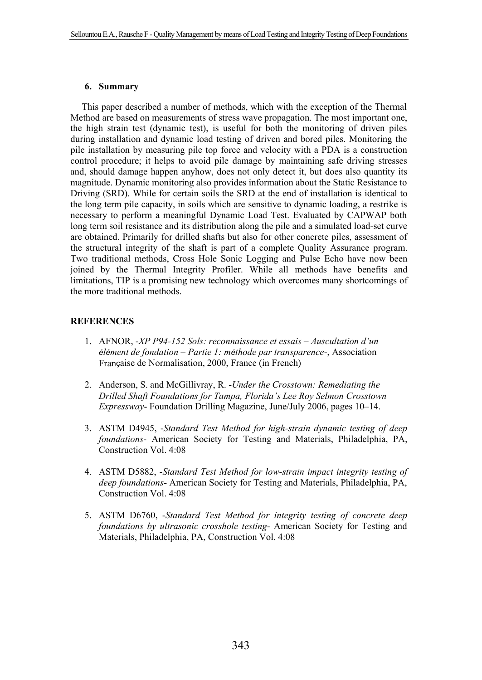## **6. Summary**

This paper described a number of methods, which with the exception of the Thermal Method are based on measurements of stress wave propagation. The most important one, the high strain test (dynamic test), is useful for both the monitoring of driven piles during installation and dynamic load testing of driven and bored piles. Monitoring the pile installation by measuring pile top force and velocity with a PDA is a construction control procedure; it helps to avoid pile damage by maintaining safe driving stresses and, should damage happen anyhow, does not only detect it, but does also quantity its magnitude. Dynamic monitoring also provides information about the Static Resistance to Driving (SRD). While for certain soils the SRD at the end of installation is identical to the long term pile capacity, in soils which are sensitive to dynamic loading, a restrike is necessary to perform a meaningful Dynamic Load Test. Evaluated by CAPWAP both long term soil resistance and its distribution along the pile and a simulated load-set curve are obtained. Primarily for drilled shafts but also for other concrete piles, assessment of the structural integrity of the shaft is part of a complete Quality Assurance program. Two traditional methods, Cross Hole Sonic Logging and Pulse Echo have now been joined by the Thermal Integrity Profiler. While all methods have benefits and limitations, TIP is a promising new technology which overcomes many shortcomings of the more traditional methods.

## **REFERENCES**

- 1. AFNOR, -*XP P94-152 Sols: reconnaissance et essais Auscultation d'un élément de fondation – Partie 1: méthode par transparence*-, Association Française de Normalisation, 2000, France (in French)
- 2. Anderson, S. and McGillivray, R. -*Under the Crosstown: Remediating the Drilled Shaft Foundations for Tampa, Florida's Lee Roy Selmon Crosstown Expressway*- Foundation Drilling Magazine, June/July 2006, pages 10–14.
- 3. ASTM D4945, -*Standard Test Method for high-strain dynamic testing of deep foundations*- American Society for Testing and Materials, Philadelphia, PA, Construction Vol. 4:08
- 4. ASTM D5882, -*Standard Test Method for low-strain impact integrity testing of deep foundations*- American Society for Testing and Materials, Philadelphia, PA, Construction Vol. 4:08
- 5. ASTM D6760, -*Standard Test Method for integrity testing of concrete deep foundations by ultrasonic crosshole testing*- American Society for Testing and Materials, Philadelphia, PA, Construction Vol. 4:08